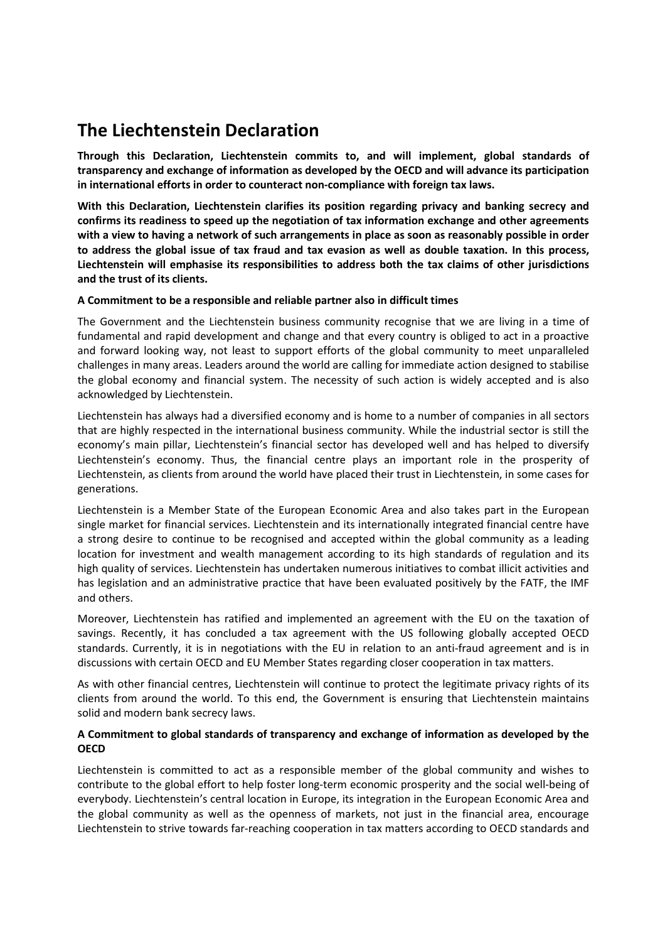## **The Liechtenstein Declaration**

**Through this Declaration, Liechtenstein commits to, and will implement, global standards of transparency and exchange of information as developed by the OECD and will advance its participation in international efforts in order to counteract non-compliance with foreign tax laws.** 

**With this Declaration, Liechtenstein clarifies its position regarding privacy and banking secrecy and confirms its readiness to speed up the negotiation of tax information exchange and other agreements with a view to having a network of such arrangements in place as soon as reasonably possible in order to address the global issue of tax fraud and tax evasion as well as double taxation. In this process, Liechtenstein will emphasise its responsibilities to address both the tax claims of other jurisdictions and the trust of its clients.** 

## **A Commitment to be a responsible and reliable partner also in difficult times**

The Government and the Liechtenstein business community recognise that we are living in a time of fundamental and rapid development and change and that every country is obliged to act in a proactive and forward looking way, not least to support efforts of the global community to meet unparalleled challenges in many areas. Leaders around the world are calling for immediate action designed to stabilise the global economy and financial system. The necessity of such action is widely accepted and is also acknowledged by Liechtenstein.

Liechtenstein has always had a diversified economy and is home to a number of companies in all sectors that are highly respected in the international business community. While the industrial sector is still the economy's main pillar, Liechtenstein's financial sector has developed well and has helped to diversify Liechtenstein's economy. Thus, the financial centre plays an important role in the prosperity of Liechtenstein, as clients from around the world have placed their trust in Liechtenstein, in some cases for generations.

Liechtenstein is a Member State of the European Economic Area and also takes part in the European single market for financial services. Liechtenstein and its internationally integrated financial centre have a strong desire to continue to be recognised and accepted within the global community as a leading location for investment and wealth management according to its high standards of regulation and its high quality of services. Liechtenstein has undertaken numerous initiatives to combat illicit activities and has legislation and an administrative practice that have been evaluated positively by the FATF, the IMF and others.

Moreover, Liechtenstein has ratified and implemented an agreement with the EU on the taxation of savings. Recently, it has concluded a tax agreement with the US following globally accepted OECD standards. Currently, it is in negotiations with the EU in relation to an anti-fraud agreement and is in discussions with certain OECD and EU Member States regarding closer cooperation in tax matters.

As with other financial centres, Liechtenstein will continue to protect the legitimate privacy rights of its clients from around the world. To this end, the Government is ensuring that Liechtenstein maintains solid and modern bank secrecy laws.

## **A Commitment to global standards of transparency and exchange of information as developed by the OECD**

Liechtenstein is committed to act as a responsible member of the global community and wishes to contribute to the global effort to help foster long-term economic prosperity and the social well-being of everybody. Liechtenstein's central location in Europe, its integration in the European Economic Area and the global community as well as the openness of markets, not just in the financial area, encourage Liechtenstein to strive towards far-reaching cooperation in tax matters according to OECD standards and